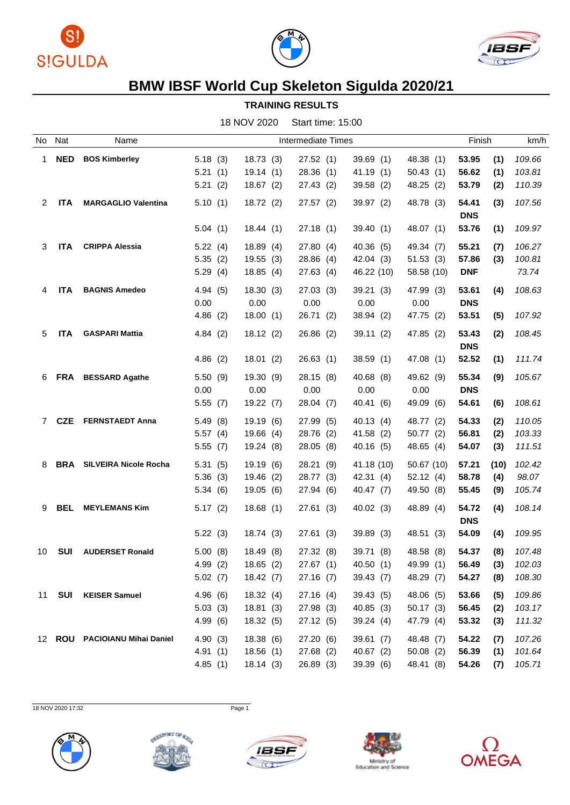





## **BMW IBSF World Cup Skeleton Sigulda 2020/21**

## **TRAINING RESULTS**

| No | Nat        | Name                             |         |           | Intermediate Times |            |            | Finish     | km/h           |
|----|------------|----------------------------------|---------|-----------|--------------------|------------|------------|------------|----------------|
| 1. | <b>NED</b> | <b>BOS Kimberley</b>             | 5.18(3) | 18.73(3)  | 27.52(1)           | 39.69(1)   | 48.38 (1)  | 53.95      | (1)<br>109.66  |
|    |            |                                  | 5.21(1) | 19.14(1)  | 28.36(1)           | 41.19(1)   | 50.43(1)   | 56.62      | 103.81<br>(1)  |
|    |            |                                  | 5.21(2) | 18.67(2)  | 27.43 (2)          | 39.58(2)   | 48.25 (2)  | 53.79      | 110.39<br>(2)  |
| 2  | <b>ITA</b> | <b>MARGAGLIO Valentina</b>       | 5.10(1) | 18.72(2)  | 27.57(2)           | 39.97 (2)  | 48.78 (3)  | 54.41      | 107.56<br>(3)  |
|    |            |                                  |         |           |                    |            |            | <b>DNS</b> |                |
|    |            |                                  | 5.04(1) | 18.44 (1) | 27.18 (1)          | 39.40(1)   | 48.07 (1)  | 53.76      | (1)<br>109.97  |
| 3  | <b>ITA</b> | <b>CRIPPA Alessia</b>            | 5.22(4) | 18.89(4)  | 27.80(4)           | 40.36(5)   | 49.34 (7)  | 55.21      | 106.27<br>(7)  |
|    |            |                                  | 5.35(2) | 19.55(3)  | 28.86 (4)          | 42.04(3)   | 51.53(3)   | 57.86      | 100.81<br>(3)  |
|    |            |                                  | 5.29(4) | 18.85(4)  | 27.63 (4)          | 46.22 (10) | 58.58 (10) | <b>DNF</b> | 73.74          |
|    |            |                                  |         |           |                    |            |            |            |                |
| 4  | <b>ITA</b> | <b>BAGNIS Amedeo</b>             | 4.94(5) | 18.30(3)  | 27.03(3)           | 39.21(3)   | 47.99 (3)  | 53.61      | 108.63<br>(4)  |
|    |            |                                  | 0.00    | 0.00      | 0.00               | 0.00       | 0.00       | <b>DNS</b> |                |
|    |            |                                  | 4.86(2) | 18.00(1)  | 26.71 (2)          | 38.94 (2)  | 47.75 (2)  | 53.51      | 107.92<br>(5)  |
| 5  | <b>ITA</b> | <b>GASPARI Mattia</b>            | 4.84(2) | 18.12(2)  | 26.86(2)           | 39.11(2)   | 47.85 (2)  | 53.43      | (2)<br>108.45  |
|    |            |                                  |         |           |                    |            |            | <b>DNS</b> |                |
|    |            |                                  | 4.86(2) | 18.01(2)  | 26.63(1)           | 38.59(1)   | 47.08 (1)  | 52.52      | (1)<br>111.74  |
| 6. |            | FRA BESSARD Agathe               | 5.50(9) | 19.30 (9) | 28.15(8)           | 40.68 (8)  | 49.62 (9)  | 55.34      | (9)<br>105.67  |
|    |            |                                  | 0.00    | 0.00      | 0.00               | 0.00       | 0.00       | <b>DNS</b> |                |
|    |            |                                  | 5.55(7) | 19.22(7)  | 28.04(7)           | 40.41 (6)  | 49.09 (6)  | 54.61      | 108.61<br>(6)  |
|    |            |                                  |         |           |                    |            |            |            |                |
| 7  | <b>CZE</b> | <b>FERNSTAEDT Anna</b>           | 5.49(8) | 19.19(6)  | 27.99 (5)          | 40.13(4)   | 48.77 (2)  | 54.33      | 110.05<br>(2)  |
|    |            |                                  | 5.57(4) | 19.66(4)  | 28.76 (2)          | 41.58(2)   | 50.77(2)   | 56.81      | (2)<br>103.33  |
|    |            |                                  | 5.55(7) | 19.24 (8) | 28.05 (8)          | 40.16(5)   | 48.65 (4)  | 54.07      | (3)<br>111.51  |
| 8  |            | <b>BRA</b> SILVEIRA Nicole Rocha | 5.31(5) | 19.19(6)  | 28.21 (9)          | 41.18 (10) | 50.67(10)  | 57.21      | (10)<br>102.42 |
|    |            |                                  | 5.36(3) | 19.46 (2) | 28.77 (3)          | 42.31(4)   | 52.12(4)   | 58.78      | 98.07<br>(4)   |
|    |            |                                  | 5.34(6) | 19.05 (6) | 27.94 (6)          | 40.47 (7)  | 49.50 (8)  | 55.45      | 105.74<br>(9)  |
| 9  | <b>BEL</b> | <b>MEYLEMANS Kim</b>             | 5.17(2) | 18.68(1)  | 27.61(3)           | 40.02(3)   | 48.89 (4)  | 54.72      | (4)<br>108.14  |
|    |            |                                  |         |           |                    |            |            | <b>DNS</b> |                |
|    |            |                                  | 5.22(3) | 18.74(3)  | 27.61(3)           | 39.89(3)   | 48.51 (3)  | 54.09      | 109.95<br>(4)  |
|    |            |                                  |         |           |                    |            |            |            |                |
| 10 | <b>SUI</b> | <b>AUDERSET Ronald</b>           | 5.00(8) | 18.49(8)  | 27.32(8)           | 39.71 (8)  | 48.58 (8)  | 54.37      | 107.48<br>(8)  |
|    |            |                                  | 4.99(2) | 18.65(2)  | 27.67(1)           | 40.50(1)   | 49.99 (1)  | 56.49      | (3)<br>102.03  |
|    |            |                                  | 5.02(7) | 18.42(7)  | 27.16(7)           | 39.43 (7)  | 48.29 (7)  | 54.27      | 108.30<br>(8)  |
| 11 | SUI        | <b>KEISER Samuel</b>             | 4.96(6) | 18.32(4)  | 27.16(4)           | 39.43(5)   | 48.06 (5)  | 53.66      | 109.86<br>(5)  |
|    |            |                                  | 5.03(3) | 18.81(3)  | 27.98 (3)          | 40.85(3)   | 50.17(3)   | 56.45      | 103.17<br>(2)  |
|    |            |                                  | 4.99(6) | 18.32(5)  | 27.12(5)           | 39.24(4)   | 47.79 (4)  | 53.32      | 111.32<br>(3)  |
|    |            | 12 ROU PACIOIANU Mihai Daniel    | 4.90(3) | 18.38(6)  | 27.20(6)           | 39.61(7)   | 48.48 (7)  | 54.22      | 107.26<br>(7)  |
|    |            |                                  | 4.91(1) | 18.56(1)  | 27.68(2)           | 40.67(2)   | 50.08(2)   | 56.39      | 101.64<br>(1)  |
|    |            |                                  | 4.85(1) | 18.14(3)  | 26.89(3)           | 39.39 (6)  | 48.41 (8)  | 54.26      | 105.71<br>(7)  |
|    |            |                                  |         |           |                    |            |            |            |                |

18 NOV 2020 17:32 Page 1